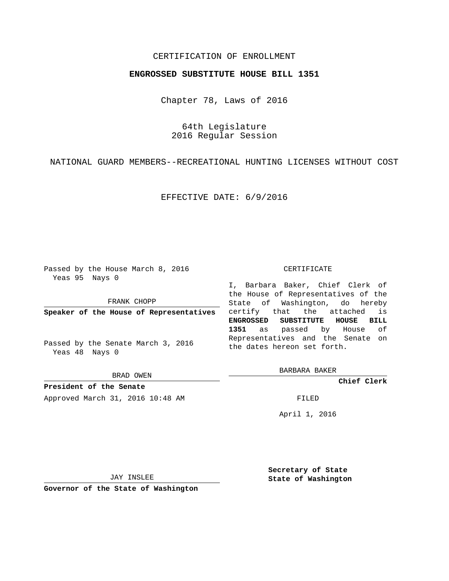## CERTIFICATION OF ENROLLMENT

## **ENGROSSED SUBSTITUTE HOUSE BILL 1351**

Chapter 78, Laws of 2016

64th Legislature 2016 Regular Session

NATIONAL GUARD MEMBERS--RECREATIONAL HUNTING LICENSES WITHOUT COST

EFFECTIVE DATE: 6/9/2016

Passed by the House March 8, 2016 Yeas 95 Nays 0

FRANK CHOPP

**Speaker of the House of Representatives**

Passed by the Senate March 3, 2016 Yeas 48 Nays 0

BRAD OWEN

**President of the Senate** Approved March 31, 2016 10:48 AM FILED

#### CERTIFICATE

I, Barbara Baker, Chief Clerk of the House of Representatives of the State of Washington, do hereby certify that the attached is **ENGROSSED SUBSTITUTE HOUSE BILL 1351** as passed by House of Representatives and the Senate on the dates hereon set forth.

BARBARA BAKER

**Chief Clerk**

April 1, 2016

JAY INSLEE

**Governor of the State of Washington**

**Secretary of State State of Washington**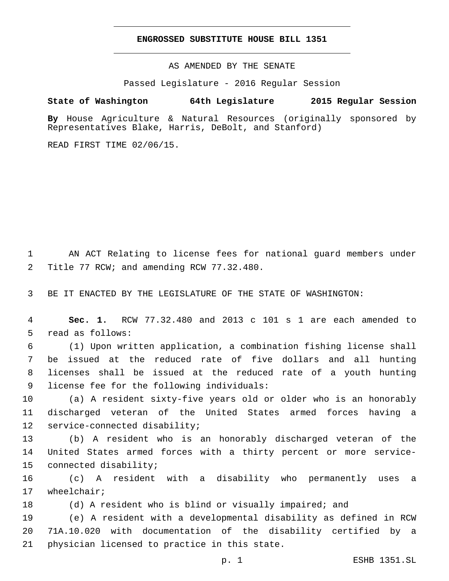### **ENGROSSED SUBSTITUTE HOUSE BILL 1351**

AS AMENDED BY THE SENATE

Passed Legislature - 2016 Regular Session

# **State of Washington 64th Legislature 2015 Regular Session**

**By** House Agriculture & Natural Resources (originally sponsored by Representatives Blake, Harris, DeBolt, and Stanford)

READ FIRST TIME 02/06/15.

1 AN ACT Relating to license fees for national guard members under 2 Title 77 RCW; and amending RCW 77.32.480.

3 BE IT ENACTED BY THE LEGISLATURE OF THE STATE OF WASHINGTON:

4 **Sec. 1.** RCW 77.32.480 and 2013 c 101 s 1 are each amended to 5 read as follows:

 (1) Upon written application, a combination fishing license shall be issued at the reduced rate of five dollars and all hunting licenses shall be issued at the reduced rate of a youth hunting 9 license fee for the following individuals:

10 (a) A resident sixty-five years old or older who is an honorably 11 discharged veteran of the United States armed forces having a 12 service-connected disability;

13 (b) A resident who is an honorably discharged veteran of the 14 United States armed forces with a thirty percent or more service-15 connected disability;

16 (c) A resident with a disability who permanently uses a 17 wheelchair;

18 (d) A resident who is blind or visually impaired; and

19 (e) A resident with a developmental disability as defined in RCW 20 71A.10.020 with documentation of the disability certified by a 21 physician licensed to practice in this state.